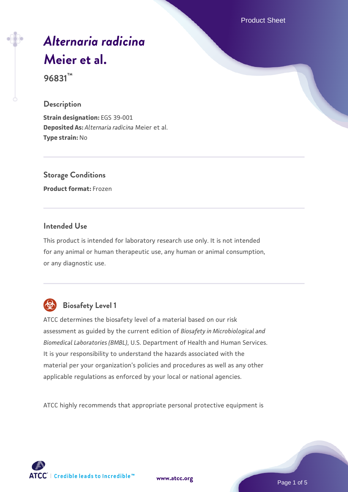Product Sheet

# *[Alternaria radicina](https://www.atcc.org/products/96831)* **[Meier et al.](https://www.atcc.org/products/96831)**

**96831™**

#### **Description**

**Strain designation:** EGS 39-001 **Deposited As:** *Alternaria radicina* Meier et al. **Type strain:** No

**Storage Conditions**

**Product format:** Frozen

## **Intended Use**

This product is intended for laboratory research use only. It is not intended for any animal or human therapeutic use, any human or animal consumption, or any diagnostic use.



## **Biosafety Level 1**

ATCC determines the biosafety level of a material based on our risk assessment as guided by the current edition of *Biosafety in Microbiological and Biomedical Laboratories (BMBL)*, U.S. Department of Health and Human Services. It is your responsibility to understand the hazards associated with the material per your organization's policies and procedures as well as any other applicable regulations as enforced by your local or national agencies.

ATCC highly recommends that appropriate personal protective equipment is

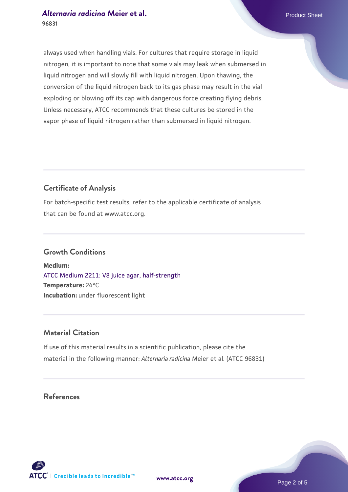## *[Alternaria radicina](https://www.atcc.org/products/96831)* **Meier et al. Product Sheet** Product Sheet **96831**

always used when handling vials. For cultures that require storage in liquid nitrogen, it is important to note that some vials may leak when submersed in liquid nitrogen and will slowly fill with liquid nitrogen. Upon thawing, the conversion of the liquid nitrogen back to its gas phase may result in the vial exploding or blowing off its cap with dangerous force creating flying debris. Unless necessary, ATCC recommends that these cultures be stored in the vapor phase of liquid nitrogen rather than submersed in liquid nitrogen.

## **Certificate of Analysis**

For batch-specific test results, refer to the applicable certificate of analysis that can be found at www.atcc.org.

#### **Growth Conditions**

**Medium:**  [ATCC Medium 2211: V8 juice agar, half-strength](https://www.atcc.org/-/media/product-assets/documents/microbial-media-formulations/2/2/1/1/atcc-medium-2211.pdf?rev=556c7dd2b94b4c8994eb3adffa660619) **Temperature:** 24°C **Incubation:** under fluorescent light

## **Material Citation**

If use of this material results in a scientific publication, please cite the material in the following manner: *Alternaria radicina* Meier et al. (ATCC 96831)

## **References**



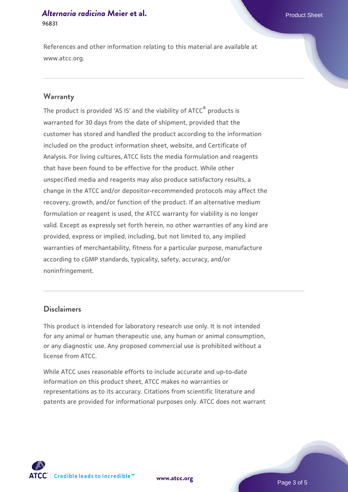## *[Alternaria radicina](https://www.atcc.org/products/96831)* **Meier et al. Product Sheet** Product Sheet **96831**

References and other information relating to this material are available at www.atcc.org.

#### **Warranty**

The product is provided 'AS IS' and the viability of ATCC® products is warranted for 30 days from the date of shipment, provided that the customer has stored and handled the product according to the information included on the product information sheet, website, and Certificate of Analysis. For living cultures, ATCC lists the media formulation and reagents that have been found to be effective for the product. While other unspecified media and reagents may also produce satisfactory results, a change in the ATCC and/or depositor-recommended protocols may affect the recovery, growth, and/or function of the product. If an alternative medium formulation or reagent is used, the ATCC warranty for viability is no longer valid. Except as expressly set forth herein, no other warranties of any kind are provided, express or implied, including, but not limited to, any implied warranties of merchantability, fitness for a particular purpose, manufacture according to cGMP standards, typicality, safety, accuracy, and/or noninfringement.

## **Disclaimers**

This product is intended for laboratory research use only. It is not intended for any animal or human therapeutic use, any human or animal consumption, or any diagnostic use. Any proposed commercial use is prohibited without a license from ATCC.

While ATCC uses reasonable efforts to include accurate and up-to-date information on this product sheet, ATCC makes no warranties or representations as to its accuracy. Citations from scientific literature and patents are provided for informational purposes only. ATCC does not warrant

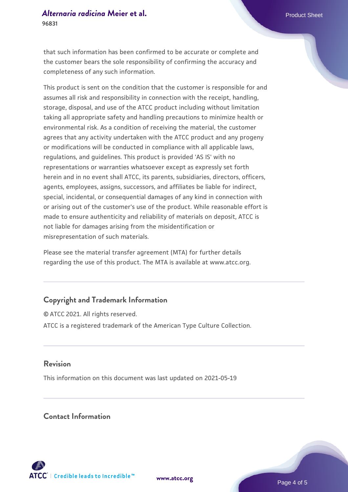that such information has been confirmed to be accurate or complete and the customer bears the sole responsibility of confirming the accuracy and completeness of any such information.

This product is sent on the condition that the customer is responsible for and assumes all risk and responsibility in connection with the receipt, handling, storage, disposal, and use of the ATCC product including without limitation taking all appropriate safety and handling precautions to minimize health or environmental risk. As a condition of receiving the material, the customer agrees that any activity undertaken with the ATCC product and any progeny or modifications will be conducted in compliance with all applicable laws, regulations, and guidelines. This product is provided 'AS IS' with no representations or warranties whatsoever except as expressly set forth herein and in no event shall ATCC, its parents, subsidiaries, directors, officers, agents, employees, assigns, successors, and affiliates be liable for indirect, special, incidental, or consequential damages of any kind in connection with or arising out of the customer's use of the product. While reasonable effort is made to ensure authenticity and reliability of materials on deposit, ATCC is not liable for damages arising from the misidentification or misrepresentation of such materials.

Please see the material transfer agreement (MTA) for further details regarding the use of this product. The MTA is available at www.atcc.org.

## **Copyright and Trademark Information**

© ATCC 2021. All rights reserved. ATCC is a registered trademark of the American Type Culture Collection.

## **Revision**

This information on this document was last updated on 2021-05-19

## **Contact Information**



**[www.atcc.org](http://www.atcc.org)**